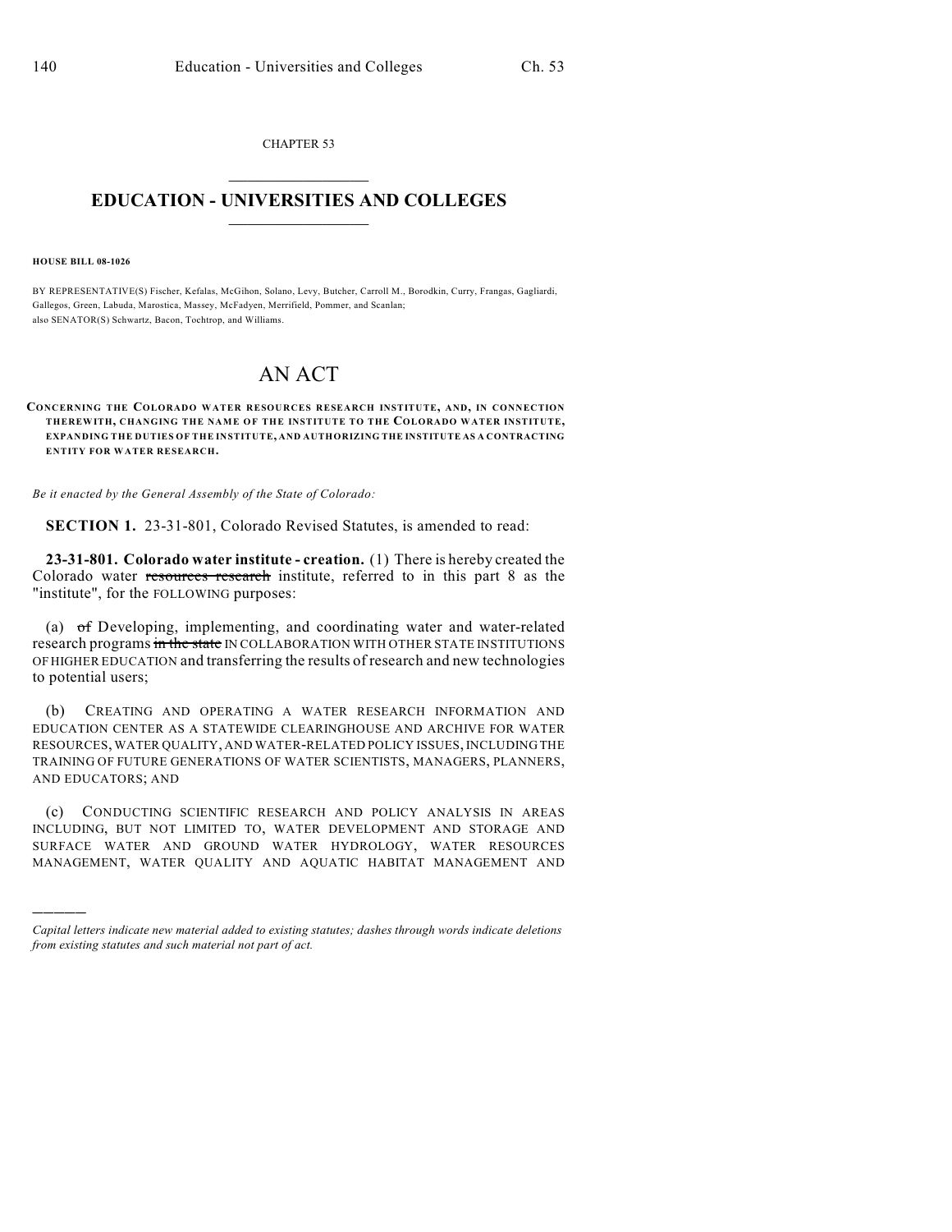CHAPTER 53  $\mathcal{L}_\text{max}$  . The set of the set of the set of the set of the set of the set of the set of the set of the set of the set of the set of the set of the set of the set of the set of the set of the set of the set of the set

## **EDUCATION - UNIVERSITIES AND COLLEGES**  $\_$

**HOUSE BILL 08-1026**

)))))

BY REPRESENTATIVE(S) Fischer, Kefalas, McGihon, Solano, Levy, Butcher, Carroll M., Borodkin, Curry, Frangas, Gagliardi, Gallegos, Green, Labuda, Marostica, Massey, McFadyen, Merrifield, Pommer, and Scanlan; also SENATOR(S) Schwartz, Bacon, Tochtrop, and Williams.

## AN ACT

## **CONCERNING THE COLORADO WATER RESOURCES RESEARCH INSTITUTE, AND, IN CONNECTION THEREWITH, CHANGING THE NAME OF THE INSTITUTE TO THE COLORADO WATER INSTITUTE, EXPANDING THE DUTIES OF THE INSTITUTE, AND AUTHORIZING THE INSTITUTE AS A CONTRACTING ENTITY FOR WATER RESEARCH.**

*Be it enacted by the General Assembly of the State of Colorado:*

**SECTION 1.** 23-31-801, Colorado Revised Statutes, is amended to read:

**23-31-801. Colorado water institute - creation.** (1) There is hereby created the Colorado water resources research institute, referred to in this part 8 as the "institute", for the FOLLOWING purposes:

(a) of Developing, implementing, and coordinating water and water-related research programs in the state IN COLLABORATION WITH OTHER STATE INSTITUTIONS OF HIGHER EDUCATION and transferring the results of research and new technologies to potential users;

(b) CREATING AND OPERATING A WATER RESEARCH INFORMATION AND EDUCATION CENTER AS A STATEWIDE CLEARINGHOUSE AND ARCHIVE FOR WATER RESOURCES, WATER QUALITY, AND WATER-RELATED POLICY ISSUES, INCLUDING THE TRAINING OF FUTURE GENERATIONS OF WATER SCIENTISTS, MANAGERS, PLANNERS, AND EDUCATORS; AND

(c) CONDUCTING SCIENTIFIC RESEARCH AND POLICY ANALYSIS IN AREAS INCLUDING, BUT NOT LIMITED TO, WATER DEVELOPMENT AND STORAGE AND SURFACE WATER AND GROUND WATER HYDROLOGY, WATER RESOURCES MANAGEMENT, WATER QUALITY AND AQUATIC HABITAT MANAGEMENT AND

*Capital letters indicate new material added to existing statutes; dashes through words indicate deletions from existing statutes and such material not part of act.*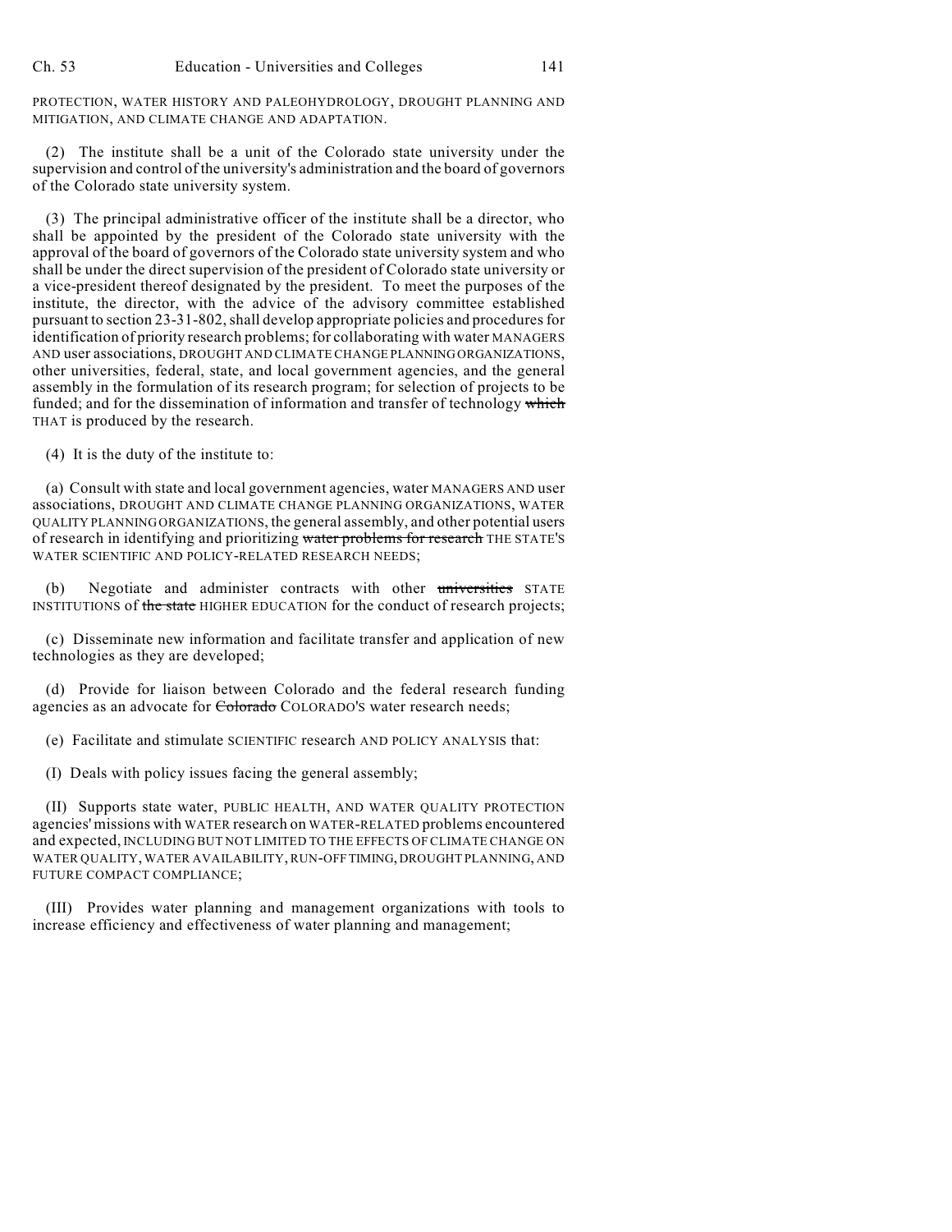PROTECTION, WATER HISTORY AND PALEOHYDROLOGY, DROUGHT PLANNING AND MITIGATION, AND CLIMATE CHANGE AND ADAPTATION.

(2) The institute shall be a unit of the Colorado state university under the supervision and control of the university's administration and the board of governors of the Colorado state university system.

(3) The principal administrative officer of the institute shall be a director, who shall be appointed by the president of the Colorado state university with the approval of the board of governors of the Colorado state university system and who shall be under the direct supervision of the president of Colorado state university or a vice-president thereof designated by the president. To meet the purposes of the institute, the director, with the advice of the advisory committee established pursuant to section 23-31-802, shall develop appropriate policies and procedures for identification of priority research problems; for collaborating with water MANAGERS AND user associations, DROUGHT AND CLIMATE CHANGE PLANNING ORGANIZATIONS, other universities, federal, state, and local government agencies, and the general assembly in the formulation of its research program; for selection of projects to be funded; and for the dissemination of information and transfer of technology which THAT is produced by the research.

(4) It is the duty of the institute to:

(a) Consult with state and local government agencies, water MANAGERS AND user associations, DROUGHT AND CLIMATE CHANGE PLANNING ORGANIZATIONS, WATER QUALITY PLANNING ORGANIZATIONS, the general assembly, and other potential users of research in identifying and prioritizing water problems for research THE STATE'S WATER SCIENTIFIC AND POLICY-RELATED RESEARCH NEEDS;

(b) Negotiate and administer contracts with other universities STATE INSTITUTIONS of the state HIGHER EDUCATION for the conduct of research projects;

(c) Disseminate new information and facilitate transfer and application of new technologies as they are developed;

(d) Provide for liaison between Colorado and the federal research funding agencies as an advocate for Colorado COLORADO'S water research needs;

(e) Facilitate and stimulate SCIENTIFIC research AND POLICY ANALYSIS that:

(I) Deals with policy issues facing the general assembly;

(II) Supports state water, PUBLIC HEALTH, AND WATER QUALITY PROTECTION agencies' missions with WATER research on WATER-RELATED problems encountered and expected, INCLUDING BUT NOT LIMITED TO THE EFFECTS OF CLIMATE CHANGE ON WATER QUALITY, WATER AVAILABILITY, RUN-OFF TIMING, DROUGHT PLANNING, AND FUTURE COMPACT COMPLIANCE;

(III) Provides water planning and management organizations with tools to increase efficiency and effectiveness of water planning and management;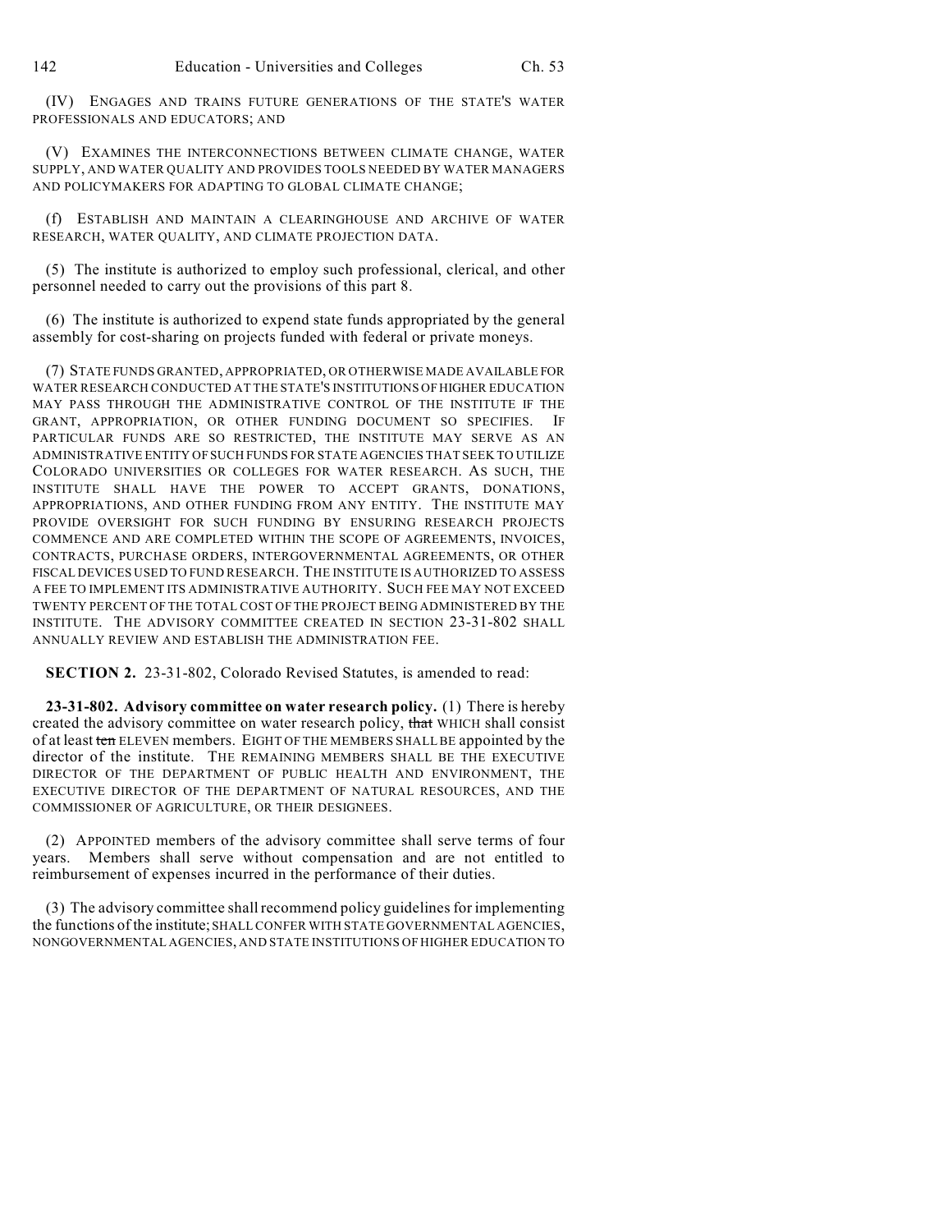(IV) ENGAGES AND TRAINS FUTURE GENERATIONS OF THE STATE'S WATER PROFESSIONALS AND EDUCATORS; AND

(V) EXAMINES THE INTERCONNECTIONS BETWEEN CLIMATE CHANGE, WATER SUPPLY, AND WATER QUALITY AND PROVIDES TOOLS NEEDED BY WATER MANAGERS AND POLICYMAKERS FOR ADAPTING TO GLOBAL CLIMATE CHANGE;

(f) ESTABLISH AND MAINTAIN A CLEARINGHOUSE AND ARCHIVE OF WATER RESEARCH, WATER QUALITY, AND CLIMATE PROJECTION DATA.

(5) The institute is authorized to employ such professional, clerical, and other personnel needed to carry out the provisions of this part 8.

(6) The institute is authorized to expend state funds appropriated by the general assembly for cost-sharing on projects funded with federal or private moneys.

(7) STATE FUNDS GRANTED, APPROPRIATED, OR OTHERWISE MADE AVAILABLE FOR WATER RESEARCH CONDUCTED AT THE STATE'S INSTITUTIONS OF HIGHER EDUCATION MAY PASS THROUGH THE ADMINISTRATIVE CONTROL OF THE INSTITUTE IF THE GRANT, APPROPRIATION, OR OTHER FUNDING DOCUMENT SO SPECIFIES. IF PARTICULAR FUNDS ARE SO RESTRICTED, THE INSTITUTE MAY SERVE AS AN ADMINISTRATIVE ENTITY OF SUCH FUNDS FOR STATE AGENCIES THAT SEEK TO UTILIZE COLORADO UNIVERSITIES OR COLLEGES FOR WATER RESEARCH. AS SUCH, THE INSTITUTE SHALL HAVE THE POWER TO ACCEPT GRANTS, DONATIONS, APPROPRIATIONS, AND OTHER FUNDING FROM ANY ENTITY. THE INSTITUTE MAY PROVIDE OVERSIGHT FOR SUCH FUNDING BY ENSURING RESEARCH PROJECTS COMMENCE AND ARE COMPLETED WITHIN THE SCOPE OF AGREEMENTS, INVOICES, CONTRACTS, PURCHASE ORDERS, INTERGOVERNMENTAL AGREEMENTS, OR OTHER FISCAL DEVICES USED TO FUND RESEARCH. THE INSTITUTE IS AUTHORIZED TO ASSESS A FEE TO IMPLEMENT ITS ADMINISTRATIVE AUTHORITY. SUCH FEE MAY NOT EXCEED TWENTY PERCENT OF THE TOTAL COST OF THE PROJECT BEING ADMINISTERED BY THE INSTITUTE. THE ADVISORY COMMITTEE CREATED IN SECTION 23-31-802 SHALL ANNUALLY REVIEW AND ESTABLISH THE ADMINISTRATION FEE.

**SECTION 2.** 23-31-802, Colorado Revised Statutes, is amended to read:

**23-31-802. Advisory committee on water research policy.** (1) There is hereby created the advisory committee on water research policy, that WHICH shall consist of at least ten ELEVEN members. EIGHT OF THE MEMBERS SHALL BE appointed by the director of the institute. THE REMAINING MEMBERS SHALL BE THE EXECUTIVE DIRECTOR OF THE DEPARTMENT OF PUBLIC HEALTH AND ENVIRONMENT, THE EXECUTIVE DIRECTOR OF THE DEPARTMENT OF NATURAL RESOURCES, AND THE COMMISSIONER OF AGRICULTURE, OR THEIR DESIGNEES.

(2) APPOINTED members of the advisory committee shall serve terms of four years. Members shall serve without compensation and are not entitled to reimbursement of expenses incurred in the performance of their duties.

(3) The advisory committee shall recommend policy guidelines for implementing the functions of the institute; SHALL CONFER WITH STATE GOVERNMENTAL AGENCIES, NONGOVERNMENTAL AGENCIES, AND STATE INSTITUTIONS OF HIGHER EDUCATION TO